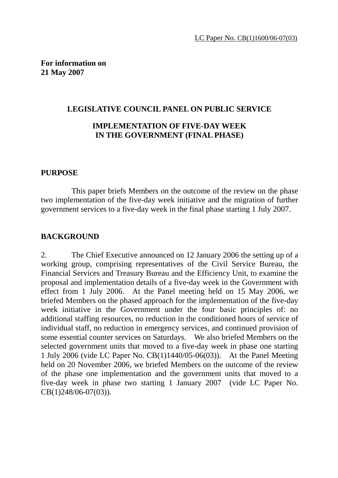**For information on 21 May 2007** 

#### **LEGISLATIVE COUNCIL PANEL ON PUBLIC SERVICE**

## **IMPLEMENTATION OF FIVE-DAY WEEK IN THE GOVERNMENT (FINAL PHASE)**

#### **PURPOSE**

 This paper briefs Members on the outcome of the review on the phase two implementation of the five-day week initiative and the migration of further government services to a five-day week in the final phase starting 1 July 2007.

#### **BACKGROUND**

2. The Chief Executive announced on 12 January 2006 the setting up of a working group, comprising representatives of the Civil Service Bureau, the Financial Services and Treasury Bureau and the Efficiency Unit, to examine the proposal and implementation details of a five-day week in the Government with effect from 1 July 2006. At the Panel meeting held on 15 May 2006, we briefed Members on the phased approach for the implementation of the five-day week initiative in the Government under the four basic principles of: no additional staffing resources, no reduction in the conditioned hours of service of individual staff, no reduction in emergency services, and continued provision of some essential counter services on Saturdays. We also briefed Members on the selected government units that moved to a five-day week in phase one starting 1 July 2006 (vide LC Paper No. CB(1)1440/05-06(03)). At the Panel Meeting held on 20 November 2006, we briefed Members on the outcome of the review of the phase one implementation and the government units that moved to a five-day week in phase two starting 1 January 2007 (vide LC Paper No. CB(1)248/06-07(03)).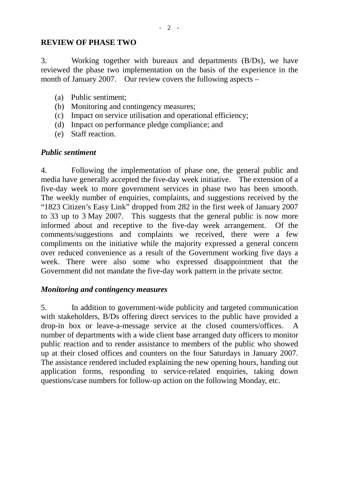#### **REVIEW OF PHASE TWO**

3. Working together with bureaux and departments (B/Ds), we have reviewed the phase two implementation on the basis of the experience in the month of January 2007. Our review covers the following aspects –

- (a) Public sentiment;
- (b) Monitoring and contingency measures;
- (c) Impact on service utilisation and operational efficiency;
- (d) Impact on performance pledge compliance; and
- (e) Staff reaction.

#### *Public sentiment*

4. Following the implementation of phase one, the general public and media have generally accepted the five-day week initiative. The extension of a five-day week to more government services in phase two has been smooth. The weekly number of enquiries, complaints, and suggestions received by the "1823 Citizen's Easy Link" dropped from 282 in the first week of January 2007 to 33 up to 3 May 2007. This suggests that the general public is now more informed about and receptive to the five-day week arrangement. Of the comments/suggestions and complaints we received, there were a few compliments on the initiative while the majority expressed a general concern over reduced convenience as a result of the Government working five days a week. There were also some who expressed disappointment that the Government did not mandate the five-day work pattern in the private sector.

#### *Monitoring and contingency measures*

5. In addition to government-wide publicity and targeted communication with stakeholders, B/Ds offering direct services to the public have provided a drop-in box or leave-a-message service at the closed counters/offices. A number of departments with a wide client base arranged duty officers to monitor public reaction and to render assistance to members of the public who showed up at their closed offices and counters on the four Saturdays in January 2007. The assistance rendered included explaining the new opening hours, handing out application forms, responding to service-related enquiries, taking down questions/case numbers for follow-up action on the following Monday, etc.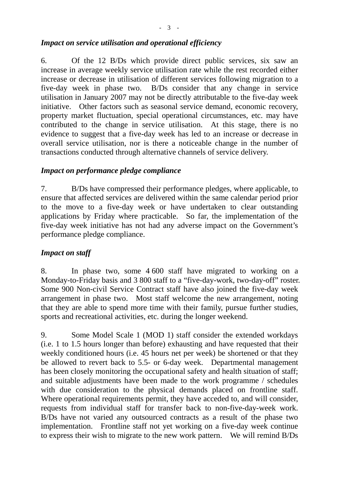#### *Impact on service utilisation and operational efficiency*

6. Of the 12 B/Ds which provide direct public services, six saw an increase in average weekly service utilisation rate while the rest recorded either increase or decrease in utilisation of different services following migration to a five-day week in phase two. B/Ds consider that any change in service utilisation in January 2007 may not be directly attributable to the five-day week initiative. Other factors such as seasonal service demand, economic recovery, property market fluctuation, special operational circumstances, etc. may have contributed to the change in service utilisation. At this stage, there is no evidence to suggest that a five-day week has led to an increase or decrease in overall service utilisation, nor is there a noticeable change in the number of transactions conducted through alternative channels of service delivery.

## *Impact on performance pledge compliance*

7. B/Ds have compressed their performance pledges, where applicable, to ensure that affected services are delivered within the same calendar period prior to the move to a five-day week or have undertaken to clear outstanding applications by Friday where practicable. So far, the implementation of the five-day week initiative has not had any adverse impact on the Government's performance pledge compliance.

#### *Impact on staff*

8. In phase two, some 4 600 staff have migrated to working on a Monday-to-Friday basis and 3 800 staff to a "five-day-work, two-day-off" roster. Some 900 Non-civil Service Contract staff have also joined the five-day week arrangement in phase two. Most staff welcome the new arrangement, noting that they are able to spend more time with their family, pursue further studies, sports and recreational activities, etc. during the longer weekend.

9. Some Model Scale 1 (MOD 1) staff consider the extended workdays (i.e. 1 to 1.5 hours longer than before) exhausting and have requested that their weekly conditioned hours (i.e. 45 hours net per week) be shortened or that they be allowed to revert back to 5.5- or 6-day week. Departmental management has been closely monitoring the occupational safety and health situation of staff; and suitable adjustments have been made to the work programme / schedules with due consideration to the physical demands placed on frontline staff. Where operational requirements permit, they have acceded to, and will consider, requests from individual staff for transfer back to non-five-day-week work. B/Ds have not varied any outsourced contracts as a result of the phase two implementation. Frontline staff not yet working on a five-day week continue to express their wish to migrate to the new work pattern. We will remind B/Ds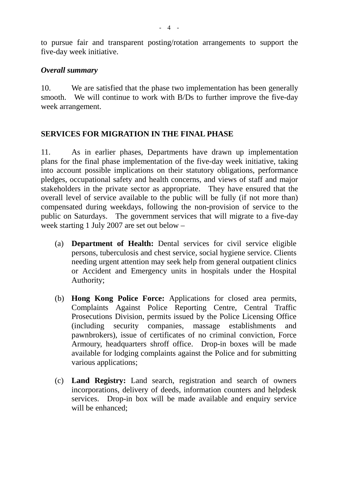to pursue fair and transparent posting/rotation arrangements to support the five-day week initiative.

#### *Overall summary*

10. We are satisfied that the phase two implementation has been generally smooth. We will continue to work with B/Ds to further improve the five-day week arrangement.

## **SERVICES FOR MIGRATION IN THE FINAL PHASE**

11. As in earlier phases, Departments have drawn up implementation plans for the final phase implementation of the five-day week initiative, taking into account possible implications on their statutory obligations, performance pledges, occupational safety and health concerns, and views of staff and major stakeholders in the private sector as appropriate. They have ensured that the overall level of service available to the public will be fully (if not more than) compensated during weekdays, following the non-provision of service to the public on Saturdays. The government services that will migrate to a five-day week starting 1 July 2007 are set out below –

- (a) **Department of Health:** Dental services for civil service eligible persons, tuberculosis and chest service, social hygiene service. Clients needing urgent attention may seek help from general outpatient clinics or Accident and Emergency units in hospitals under the Hospital Authority;
- (b) **Hong Kong Police Force:** Applications for closed area permits, Complaints Against Police Reporting Centre, Central Traffic Prosecutions Division, permits issued by the Police Licensing Office (including security companies, massage establishments and pawnbrokers), issue of certificates of no criminal conviction, Force Armoury, headquarters shroff office. Drop-in boxes will be made available for lodging complaints against the Police and for submitting various applications;
- (c) **Land Registry:** Land search, registration and search of owners incorporations, delivery of deeds, information counters and helpdesk services. Drop-in box will be made available and enquiry service will be enhanced;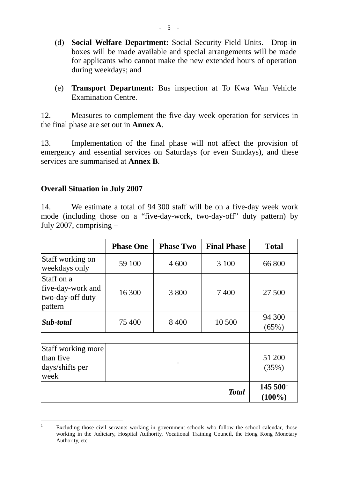- (d) **Social Welfare Department:** Social Security Field Units. Drop-in boxes will be made available and special arrangements will be made for applicants who cannot make the new extended hours of operation during weekdays; and
- (e) **Transport Department:** Bus inspection at To Kwa Wan Vehicle Examination Centre.

12. Measures to complement the five-day week operation for services in the final phase are set out in **Annex A**.

13. Implementation of the final phase will not affect the provision of emergency and essential services on Saturdays (or even Sundays), and these services are summarised at **Annex B**.

#### **Overall Situation in July 2007**

14. We estimate a total of 94 300 staff will be on a five-day week work mode (including those on a "five-day-work, two-day-off" duty pattern) by July 2007, comprising –

|                                                                | <b>Phase One</b> | <b>Phase Two</b> | <b>Final Phase</b> | <b>Total</b>              |
|----------------------------------------------------------------|------------------|------------------|--------------------|---------------------------|
| Staff working on<br>weekdays only                              | 59 100           | 4 600            | 3 100              | 66 800                    |
| Staff on a<br>five-day-work and<br>two-day-off duty<br>pattern | 16 300           | 3 800            | 7400               | 27 500                    |
| Sub-total                                                      | 75 400           | 8 4 0 0          | 10 500             | 94 300<br>(65%)           |
| Staff working more<br>than five<br>days/shifts per<br>week     |                  |                  |                    | 51 200<br>(35%)           |
|                                                                |                  |                  | <b>Total</b>       | $145\,500^1$<br>$(100\%)$ |

 $\frac{1}{1}$  Excluding those civil servants working in government schools who follow the school calendar, those working in the Judiciary, Hospital Authority, Vocational Training Council, the Hong Kong Monetary Authority, etc.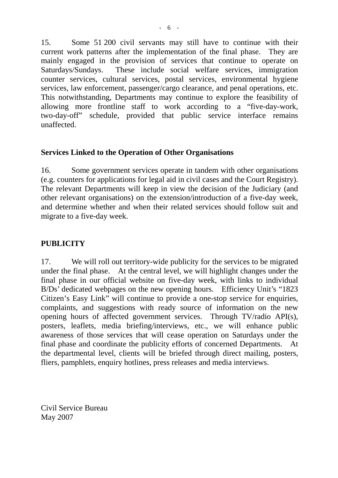15. Some 51 200 civil servants may still have to continue with their current work patterns after the implementation of the final phase. They are mainly engaged in the provision of services that continue to operate on Saturdays/Sundays. These include social welfare services, immigration counter services, cultural services, postal services, environmental hygiene services, law enforcement, passenger/cargo clearance, and penal operations, etc. This notwithstanding, Departments may continue to explore the feasibility of allowing more frontline staff to work according to a "five-day-work, two-day-off" schedule, provided that public service interface remains unaffected.

## **Services Linked to the Operation of Other Organisations**

16. Some government services operate in tandem with other organisations (e.g. counters for applications for legal aid in civil cases and the Court Registry). The relevant Departments will keep in view the decision of the Judiciary (and other relevant organisations) on the extension/introduction of a five-day week, and determine whether and when their related services should follow suit and migrate to a five-day week.

## **PUBLICITY**

17. We will roll out territory-wide publicity for the services to be migrated under the final phase. At the central level, we will highlight changes under the final phase in our official website on five-day week, with links to individual B/Ds' dedicated webpages on the new opening hours. Efficiency Unit's "1823 Citizen's Easy Link" will continue to provide a one-stop service for enquiries, complaints, and suggestions with ready source of information on the new opening hours of affected government services. Through TV/radio API(s), posters, leaflets, media briefing/interviews, etc., we will enhance public awareness of those services that will cease operation on Saturdays under the final phase and coordinate the publicity efforts of concerned Departments. At the departmental level, clients will be briefed through direct mailing, posters, fliers, pamphlets, enquiry hotlines, press releases and media interviews.

Civil Service Bureau May 2007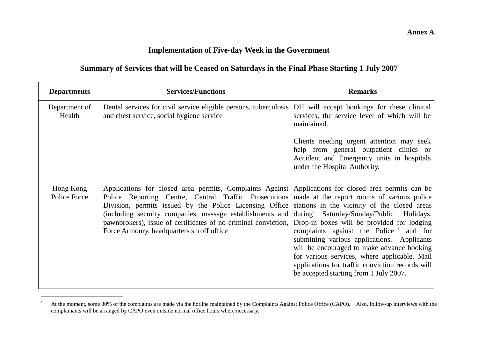## **Implementation of Five-day Week in the Government**

## **Summary of Services that will be Ceased on Saturdays in the Final Phase Starting 1 July 2007**

| <b>Departments</b>        | <b>Services/Functions</b>                                                                                                                                                                                                                                                                                                                                                                                                                                                                             | <b>Remarks</b>                                                                                                                                                                                                                                                                                                                                                                   |
|---------------------------|-------------------------------------------------------------------------------------------------------------------------------------------------------------------------------------------------------------------------------------------------------------------------------------------------------------------------------------------------------------------------------------------------------------------------------------------------------------------------------------------------------|----------------------------------------------------------------------------------------------------------------------------------------------------------------------------------------------------------------------------------------------------------------------------------------------------------------------------------------------------------------------------------|
| Department of<br>Health   | Dental services for civil service eligible persons, tuberculosis<br>and chest service, social hygiene service                                                                                                                                                                                                                                                                                                                                                                                         | DH will accept bookings for these clinical<br>services, the service level of which will be<br>maintained.<br>Clients needing urgent attention may seek<br>help from general outpatient clinics or                                                                                                                                                                                |
|                           |                                                                                                                                                                                                                                                                                                                                                                                                                                                                                                       | Accident and Emergency units in hospitals<br>under the Hospital Authority.                                                                                                                                                                                                                                                                                                       |
| Hong Kong<br>Police Force | Applications for closed area permits, Complaints Against Applications for closed area permits can be<br>Police Reporting Centre, Central Traffic Prosecutions   made at the report rooms of various police<br>Division, permits issued by the Police Licensing Office stations in the vicinity of the closed areas<br>(including security companies, massage establishments and during<br>pawnbrokers), issue of certificates of no criminal conviction,<br>Force Armoury, headquarters shroff office | Saturday/Sunday/Public Holidays.<br>Drop-in boxes will be provided for lodging<br>complaints against the Police $\frac{1}{2}$ and for<br>submitting various applications. Applicants<br>will be encouraged to make advance booking<br>for various services, where applicable. Mail<br>applications for traffic conviction records will<br>be accepted starting from 1 July 2007. |

<sup>&</sup>lt;sup>1</sup> At the moment, some 80% of the complaints are made via the hotline maintained by the Complaints Against Police Office (CAPO). Also, follow-up interviews with the complainants will be arranged by CAPO even outside normal office hours where necessary.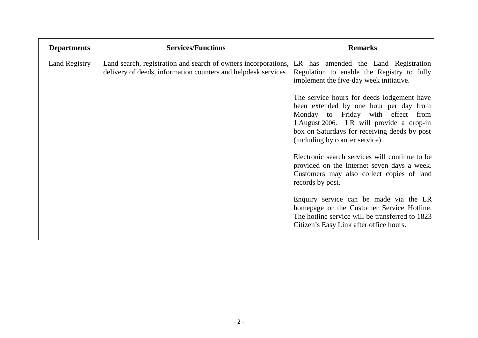| <b>Departments</b>   | <b>Services/Functions</b>                                                                                                       | <b>Remarks</b>                                                                                                                                                                                                                                                                                                                                                                            |
|----------------------|---------------------------------------------------------------------------------------------------------------------------------|-------------------------------------------------------------------------------------------------------------------------------------------------------------------------------------------------------------------------------------------------------------------------------------------------------------------------------------------------------------------------------------------|
| <b>Land Registry</b> | Land search, registration and search of owners incorporations,<br>delivery of deeds, information counters and helpdesk services | LR has amended the Land Registration<br>Regulation to enable the Registry to fully<br>implement the five-day week initiative.<br>The service hours for deeds lodgement have<br>been extended by one hour per day from<br>Monday to Friday with effect from<br>1 August 2006. LR will provide a drop-in<br>box on Saturdays for receiving deeds by post<br>(including by courier service). |
|                      |                                                                                                                                 | Electronic search services will continue to be<br>provided on the Internet seven days a week.<br>Customers may also collect copies of land<br>records by post.<br>Enquiry service can be made via the LR<br>homepage or the Customer Service Hotline.<br>The hotline service will be transferred to 1823<br>Citizen's Easy Link after office hours.                                       |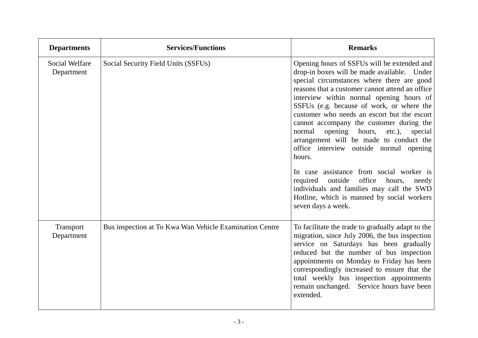| <b>Departments</b>           | <b>Services/Functions</b>                               | <b>Remarks</b>                                                                                                                                                                                                                                                                                                                                                                                                                                                                                                                                                                                                                                                                                                                                       |
|------------------------------|---------------------------------------------------------|------------------------------------------------------------------------------------------------------------------------------------------------------------------------------------------------------------------------------------------------------------------------------------------------------------------------------------------------------------------------------------------------------------------------------------------------------------------------------------------------------------------------------------------------------------------------------------------------------------------------------------------------------------------------------------------------------------------------------------------------------|
| Social Welfare<br>Department | Social Security Field Units (SSFUs)                     | Opening hours of SSFUs will be extended and<br>drop-in boxes will be made available. Under<br>special circumstances where there are good<br>reasons that a customer cannot attend an office<br>interview within normal opening hours of<br>SSFUs (e.g. because of work, or where the<br>customer who needs an escort but the escort<br>cannot accompany the customer during the<br>opening hours,<br>normal<br>$etc.$ ),<br>special<br>arrangement will be made to conduct the<br>office interview outside normal opening<br>hours.<br>In case assistance from social worker is<br>outside<br>office<br>required<br>hours,<br>needy<br>individuals and families may call the SWD<br>Hotline, which is manned by social workers<br>seven days a week. |
| Transport<br>Department      | Bus inspection at To Kwa Wan Vehicle Examination Centre | To facilitate the trade to gradually adapt to the<br>migration, since July 2006, the bus inspection<br>service on Saturdays has been gradually<br>reduced but the number of bus inspection<br>appointments on Monday to Friday has been<br>correspondingly increased to ensure that the<br>total weekly bus inspection appointments<br>remain unchanged. Service hours have been<br>extended.                                                                                                                                                                                                                                                                                                                                                        |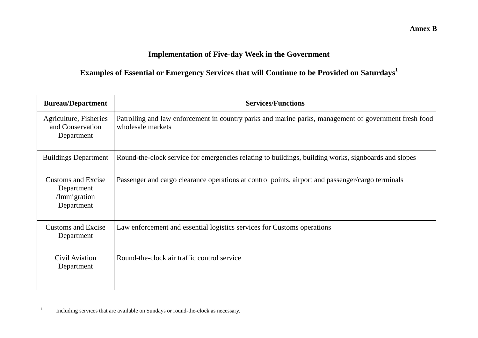# **Implementation of Five-day Week in the Government**

# **Examples of Essential or Emergency Services that will Continue to be Provided on Saturdays<sup>1</sup>**

| <b>Bureau/Department</b>                                              | <b>Services/Functions</b>                                                                                                  |
|-----------------------------------------------------------------------|----------------------------------------------------------------------------------------------------------------------------|
| Agriculture, Fisheries<br>and Conservation<br>Department              | Patrolling and law enforcement in country parks and marine parks, management of government fresh food<br>wholesale markets |
| <b>Buildings Department</b>                                           | Round-the-clock service for emergencies relating to buildings, building works, signboards and slopes                       |
| <b>Customs and Excise</b><br>Department<br>/Immigration<br>Department | Passenger and cargo clearance operations at control points, airport and passenger/cargo terminals                          |
| <b>Customs and Excise</b><br>Department                               | Law enforcement and essential logistics services for Customs operations                                                    |
| Civil Aviation<br>Department                                          | Round-the-clock air traffic control service                                                                                |

<sup>&</sup>lt;sup>1</sup> Including services that are available on Sundays or round-the-clock as necessary.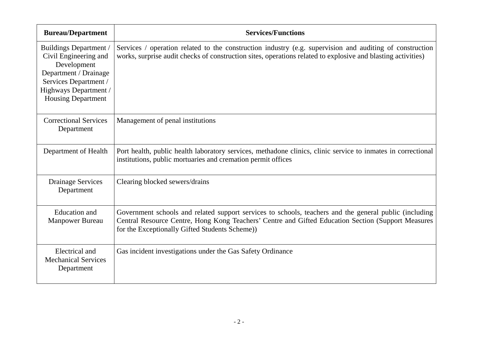| <b>Bureau/Department</b>                                                                                                                                                      | <b>Services/Functions</b>                                                                                                                                                                                                                                      |
|-------------------------------------------------------------------------------------------------------------------------------------------------------------------------------|----------------------------------------------------------------------------------------------------------------------------------------------------------------------------------------------------------------------------------------------------------------|
| <b>Buildings Department</b> /<br>Civil Engineering and<br>Development<br>Department / Drainage<br>Services Department /<br>Highways Department /<br><b>Housing Department</b> | Services / operation related to the construction industry (e.g. supervision and auditing of construction<br>works, surprise audit checks of construction sites, operations related to explosive and blasting activities)                                       |
| <b>Correctional Services</b><br>Department                                                                                                                                    | Management of penal institutions                                                                                                                                                                                                                               |
| Department of Health                                                                                                                                                          | Port health, public health laboratory services, methadone clinics, clinic service to inmates in correctional<br>institutions, public mortuaries and cremation permit offices                                                                                   |
| <b>Drainage Services</b><br>Department                                                                                                                                        | Clearing blocked sewers/drains                                                                                                                                                                                                                                 |
| <b>Education</b> and<br><b>Manpower Bureau</b>                                                                                                                                | Government schools and related support services to schools, teachers and the general public (including<br>Central Resource Centre, Hong Kong Teachers' Centre and Gifted Education Section (Support Measures<br>for the Exceptionally Gifted Students Scheme)) |
| Electrical and<br><b>Mechanical Services</b><br>Department                                                                                                                    | Gas incident investigations under the Gas Safety Ordinance                                                                                                                                                                                                     |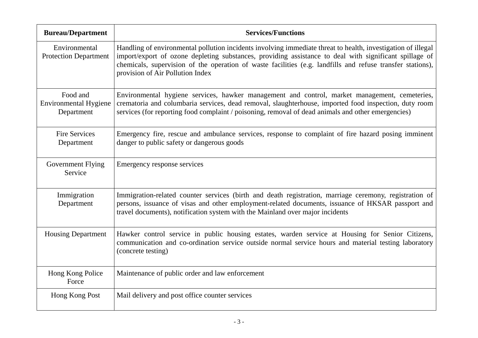| <b>Bureau/Department</b>                               | <b>Services/Functions</b>                                                                                                                                                                                                                                                                                                                                                |
|--------------------------------------------------------|--------------------------------------------------------------------------------------------------------------------------------------------------------------------------------------------------------------------------------------------------------------------------------------------------------------------------------------------------------------------------|
| Environmental<br><b>Protection Department</b>          | Handling of environmental pollution incidents involving immediate threat to health, investigation of illegal<br>import/export of ozone depleting substances, providing assistance to deal with significant spillage of<br>chemicals, supervision of the operation of waste facilities (e.g. landfills and refuse transfer stations),<br>provision of Air Pollution Index |
| Food and<br><b>Environmental Hygiene</b><br>Department | Environmental hygiene services, hawker management and control, market management, cemeteries,<br>crematoria and columbaria services, dead removal, slaughterhouse, imported food inspection, duty room<br>services (for reporting food complaint / poisoning, removal of dead animals and other emergencies)                                                             |
| <b>Fire Services</b><br>Department                     | Emergency fire, rescue and ambulance services, response to complaint of fire hazard posing imminent<br>danger to public safety or dangerous goods                                                                                                                                                                                                                        |
| Government Flying<br>Service                           | Emergency response services                                                                                                                                                                                                                                                                                                                                              |
| Immigration<br>Department                              | Immigration-related counter services (birth and death registration, marriage ceremony, registration of<br>persons, issuance of visas and other employment-related documents, issuance of HKSAR passport and<br>travel documents), notification system with the Mainland over major incidents                                                                             |
| <b>Housing Department</b>                              | Hawker control service in public housing estates, warden service at Housing for Senior Citizens,<br>communication and co-ordination service outside normal service hours and material testing laboratory<br>(concrete testing)                                                                                                                                           |
| Hong Kong Police<br>Force                              | Maintenance of public order and law enforcement                                                                                                                                                                                                                                                                                                                          |
| Hong Kong Post                                         | Mail delivery and post office counter services                                                                                                                                                                                                                                                                                                                           |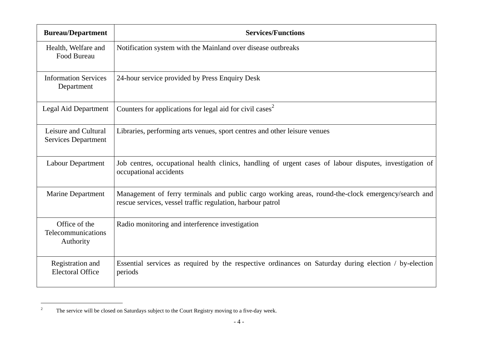| <b>Bureau/Department</b>                           | <b>Services/Functions</b>                                                                                                                                        |
|----------------------------------------------------|------------------------------------------------------------------------------------------------------------------------------------------------------------------|
| Health, Welfare and<br>Food Bureau                 | Notification system with the Mainland over disease outbreaks                                                                                                     |
| <b>Information Services</b><br>Department          | 24-hour service provided by Press Enquiry Desk                                                                                                                   |
| Legal Aid Department                               | Counters for applications for legal aid for civil cases <sup>2</sup>                                                                                             |
| Leisure and Cultural<br><b>Services Department</b> | Libraries, performing arts venues, sport centres and other leisure venues                                                                                        |
| <b>Labour Department</b>                           | Job centres, occupational health clinics, handling of urgent cases of labour disputes, investigation of<br>occupational accidents                                |
| <b>Marine Department</b>                           | Management of ferry terminals and public cargo working areas, round-the-clock emergency/search and<br>rescue services, vessel traffic regulation, harbour patrol |
| Office of the<br>Telecommunications<br>Authority   | Radio monitoring and interference investigation                                                                                                                  |
| Registration and<br><b>Electoral Office</b>        | Essential services as required by the respective ordinances on Saturday during election / by-election<br>periods                                                 |

<sup>&</sup>lt;sup>2</sup> The service will be closed on Saturdays subject to the Court Registry moving to a five-day week.